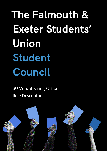**The Falmouth & Exeter Students' Union Student Council**

SU Volunteering Officer Role Descriptor

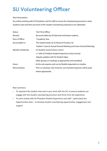## **SU Volunteering Officer**

## Short Description:

You will be working with SU Presidents, and SU staff to ensure the volunteering provision is what students want and that outcomes of the student volunteering experience are celebrated.

| Status:            | Part-Time Officer                                                      |
|--------------------|------------------------------------------------------------------------|
| Elected:           | By secret ballot by all Falmouth and Exeter students                   |
| Term of Office:    | 1 Academic Year                                                        |
| Accountable to:    | The student body via SU Board of Trustees, SU                          |
|                    | Student Council, Annual General Meeting and Union General Meetings     |
| Member of/attends: | SU Student Council (twice a term)                                      |
|                    | 1:1 with SU Preident Student Experience (twice termly)                 |
|                    | Regular updates with SU Student Opps                                   |
|                    | Other groups or meetings as appropriate and mandated                   |
| Hours:             | As the role requires and can be flexible dependent on studies.         |
| Remuneration:      | This is a voluntary role, however, out of pocket expenses will be paid |
|                    | where appropriate.                                                     |

Role Summary:

- To represent the student view and in your work with the SU; to ensure students can engage with the student volunteering provision and thrive from the experience.
- To work closely with SU President Student Experience and staff particularly the Opportunities team – to develop student volunteering opportunities, engagement and support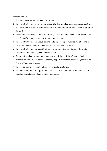Responsibilities:

- 1. To attend any meetings required by the role;
- 2. To consult with student volunteers, to identify their development needs, promote their successes and share information with the President Student Experience and appropriate SU staff
- 3. To work in partnership with the Fundraising Officer to assist the President Experience and SU staff to conduct student volunteering observations
- 4. To consult with students about existing and proposed opportunities, facilities and ideas for future developments and feed this into SU planning processes.
- 5. To consult with students about their current volunteering experience and work to develop volunteer engagement and satisfaction.
- 6. To promote and contribute to the planning and delivery of the Welcome Week programme and other related volunteering opportunities throughout the year such as Student Volunteering Week.
- 7. To develop the engagement and support of student volunteers
- 8. To update and report SU Opportunities staff and President Student Experience with developments, ideas and consultation outcomes.